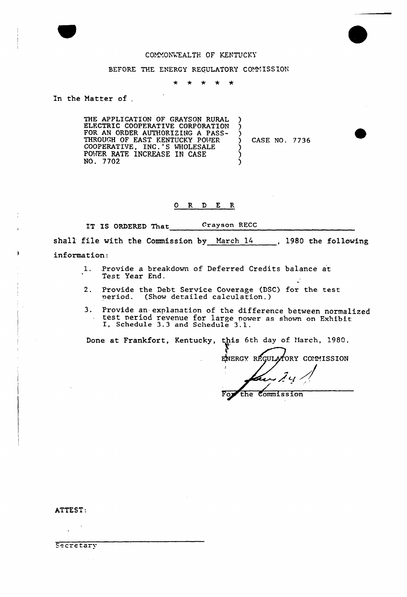

# COMMONWEALTH OF KENTUCKY

#### BEFORE THE ENERGY REGULATORY COMMISSION

÷  $\rightarrow$ \* \* \*

## In the Matter of

THE APPLICATION OF GRAYSON RURAL<br>ELECTRIC COOPERATIVE CORPORATION FOR AN ORDER AUTHORIZING A PASS-<br>THROUGH OF EAST KENTUCKY POWER<br>COOPERATIVE, INC.'S WHOLESALE<br>POWER RATE INCREASE IN CASE NO. 7702

CASE NO. 7736

Ć

 $\lambda$ 

### $OR$   $D$   $E$   $R$

IT IS ORDERED That Crayson RECC

shall file with the Commission by March 14 1980 the following information:

- $\mathbf{1}$ . Provide a breakdown of Deferred Credits balance at Test Year End.
- Provide the Debt Service Coverage (DSC) for the test  $2.$ period. (Show detailed calculation.)
- 3. Provide an explanation of the difference between normalized test period revenue for large power as shown on Exhibit<br>I, Schedule 3.3 and Schedule 3.1.

Done at Frankfort, Kentucky, this 6th day of March, 1980.

ENERGY REGULATORY COMMISSION

Commission the

ATTEST:

Secretary